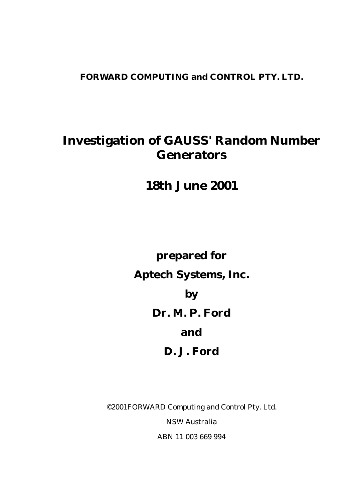# **FORWARD COMPUTING and CONTROL PTY. LTD.**

# **Investigation of GAUSS' Random Number Generators**

**18th June 2001**

**prepared for Aptech Systems, Inc. by Dr. M. P. Ford and D. J. Ford**

©2001FORWARD Computing and Control Pty. Ltd. NSW Australia ABN 11 003 669 994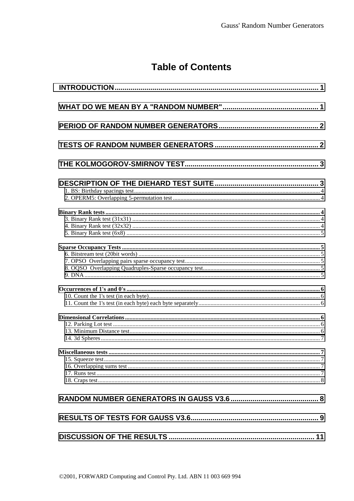# **Table of Contents**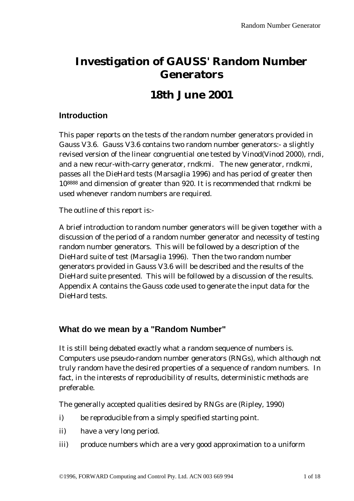# <span id="page-4-0"></span>**Investigation of GAUSS' Random Number Generators**

# **18th June 2001**

# **Introduction**

This paper reports on the tests of the random number generators provided in Gauss V3.6. Gauss V3.6 contains two random number generators:- a slightly revised version of the linear congruential one tested by Vinod(Vinod 2000), rndi, and a new recur-with-carry generator, rndkmi. The new generator, rndkmi, passes all the DieHard tests (Marsaglia 1996) and has period of greater then 108888 and dimension of greater than 920. It is recommended that rndkmi be used whenever random numbers are required.

The outline of this report is:-

A brief introduction to random number generators will be given together with a discussion of the period of a random number generator and necessity of testing random number generators. This will be followed by a description of the DieHard suite of test (Marsaglia 1996). Then the two random number generators provided in Gauss V3.6 will be described and the results of the DieHard suite presented. This will be followed by a discussion of the results. Appendix A contains the Gauss code used to generate the input data for the DieHard tests.

# **What do we mean by a "Random Number"**

It is still being debated exactly what a random sequence of numbers is. Computers use pseudo-random number generators (RNGs), which although not truly random have the desired properties of a sequence of random numbers. In fact, in the interests of reproducibility of results, deterministic methods are preferable.

The generally accepted qualities desired by RNGs are (Ripley, 1990)

- i) be reproducible from a simply specified starting point.
- ii) have a very long period.
- iii) produce numbers which are a very good approximation to a uniform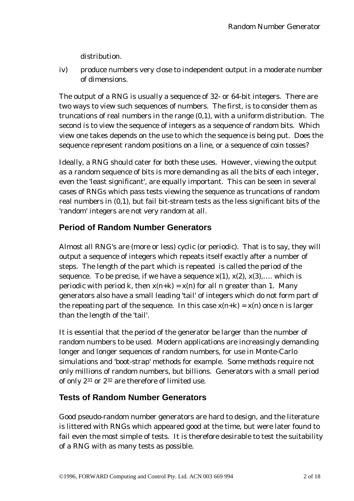distribution.

<span id="page-5-0"></span>iv) produce numbers very close to independent output in a moderate number of dimensions.

The output of a RNG is usually a sequence of 32- or 64-bit integers. There are two ways to view such sequences of numbers. The first, is to consider them as truncations of real numbers in the range (0,1), with a uniform distribution. The second is to view the sequence of integers as a sequence of random bits. Which view one takes depends on the use to which the sequence is being put. Does the sequence represent random positions on a line, or a sequence of coin tosses?

Ideally, a RNG should cater for both these uses. However, viewing the output as a random sequence of bits is more demanding as all the bits of each integer, even the 'least significant', are equally important. This can be seen in several cases of RNGs which pass tests viewing the sequence as truncations of random real numbers in (0,1), but fail bit-stream tests as the less significant bits of the 'random' integers are not very random at all.

# **Period of Random Number Generators**

Almost all RNG's are (more or less) *cyclic* (or periodic). That is to say, they will output a sequence of integers which repeats itself exactly after a number of steps. The length of the part which is repeated is called the *period* of the sequence. To be precise, if we have a sequence  $x(1)$ ,  $x(2)$ ,  $x(3)$ ,.... which is periodic with period k, then  $x(n+k) = x(n)$  for all n greater than 1. Many generators also have a small leading 'tail' of integers which do not form part of the repeating part of the sequence. In this case  $x(n+k) = x(n)$  once n is larger than the length of the 'tail'.

It is essential that the period of the generator be larger than the number of random numbers to be used. Modern applications are increasingly demanding longer and longer sequences of random numbers, for use in Monte-Carlo simulations and 'boot-strap' methods for example. Some methods require not only millions of random numbers, but billions. Generators with a small period of only 231 or 232 are therefore of limited use.

## **Tests of Random Number Generators**

Good pseudo-random number generators are hard to design, and the literature is littered with RNGs which appeared good at the time, but were later found to fail even the most simple of tests. It is therefore desirable to test the suitability of a RNG with as many tests as possible.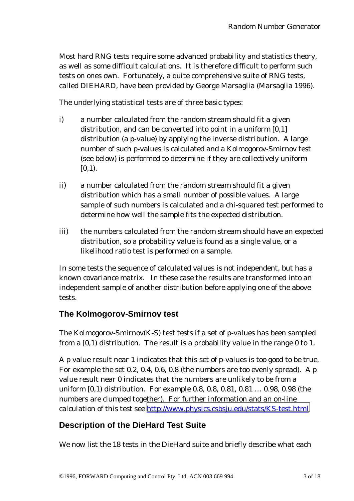<span id="page-6-0"></span>Most hard RNG tests require some advanced probability and statistics theory, as well as some difficult calculations. It is therefore difficult to perform such tests on ones own. Fortunately, a quite comprehensive suite of RNG tests, called DIEHARD, have been provided by George Marsaglia (Marsaglia 1996).

The underlying statistical tests are of three basic types:

- i) a number calculated from the random stream should fit a given distribution, and can be converted into point in a uniform [0,1] distribution (a p-value) by applying the inverse distribution. A large number of such p-values is calculated and a Kolmogorov-Smirnov test (see below) is performed to determine if they are collectively uniform  $[0,1)$ .
- ii) a number calculated from the random stream should fit a given distribution which has a small number of possible values. A large sample of such numbers is calculated and a chi-squared test performed to determine how well the sample fits the expected distribution.
- iii) the numbers calculated from the random stream should have an expected distribution, so a probability value is found as a single value, or a likelihood ratio test is performed on a sample.

In some tests the sequence of calculated values is not independent, but has a known covariance matrix. In these case the results are transformed into an independent sample of another distribution before applying one of the above tests.

# **The Kolmogorov-Smirnov test**

The Kolmogorov-Smirnov(K-S) test tests if a set of p-values has been sampled from a [0,1) distribution. The result is a probability value in the range 0 to 1.

A p value result near 1 indicates that this set of p-values is too good to be true. For example the set 0.2, 0.4, 0.6, 0.8 (the numbers are too evenly spread). A p value result near 0 indicates that the numbers are unlikely to be from a uniform [0,1) distribution. For example 0.8, 0.8, 0.81, 0.81 … 0.98, 0.98 (the numbers are clumped together). For further information and an on-line calculation of this test see <http://www.physics.csbsju.edu/stats/KS-test.html>

# **Description of the DieHard Test Suite**

We now list the 18 tests in the DieHard suite and briefly describe what each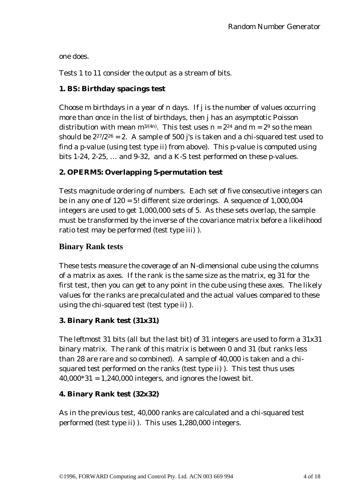<span id="page-7-0"></span>one does.

Tests 1 to 11 consider the output as a stream of bits.

#### **1. BS: Birthday spacings test**

Choose m birthdays in a year of n days. If j is the number of values occurring more than once in the list of birthdays, then j has an asymptotic Poisson distribution with mean  $m^{3/(4n)}$ . This test uses  $n = 2^{24}$  and  $m = 2^9$  so the mean should be  $2^{27}/2^{26} = 2$ . A sample of 500 j's is taken and a chi-squared test used to find a p-value (using test type ii) from above). This p-value is computed using bits 1-24, 2-25, … and 9-32, and a K-S test performed on these p-values.

## **2. OPERM5: Overlapping 5-permutation test**

Tests magnitude ordering of numbers. Each set of five consecutive integers can be in any one of 120 = 5! different size orderings. A sequence of 1,000,004 integers are used to get 1,000,000 sets of 5. As these sets overlap, the sample must be transformed by the inverse of the covariance matrix before a likelihood ratio test may be performed (test type iii) ).

#### **Binary Rank tests**

These tests measure the coverage of an N-dimensional cube using the columns of a matrix as axes. If the rank is the same size as the matrix, eg 31 for the first test, then you can get to any point in the cube using these axes. The likely values for the ranks are precalculated and the actual values compared to these using the chi-squared test (test type ii) ).

#### **3. Binary Rank test (31x31)**

The leftmost 31 bits (all but the last bit) of 31 integers are used to form a 31x31 binary matrix. The rank of this matrix is between 0 and 31 (but ranks less than 28 are rare and so combined). A sample of 40,000 is taken and a chisquared test performed on the ranks (test type ii) ). This test thus uses  $40,000*31 = 1,240,000$  integers, and ignores the lowest bit.

#### **4. Binary Rank test (32x32)**

As in the previous test, 40,000 ranks are calculated and a chi-squared test performed (test type ii) ). This uses 1,280,000 integers.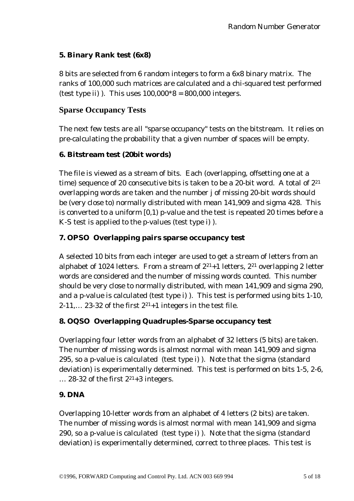## <span id="page-8-0"></span>**5. Binary Rank test (6x8)**

8 bits are selected from 6 random integers to form a 6x8 binary matrix. The ranks of 100,000 such matrices are calculated and a chi-squared test performed (test type ii) ). This uses  $100,000*8 = 800,000$  integers.

# **Sparse Occupancy Tests**

The next few tests are all "sparse occupancy" tests on the bitstream. It relies on pre-calculating the probability that a given number of spaces will be empty.

## **6. Bitstream test (20bit words)**

The file is viewed as a stream of bits. Each (overlapping, offsetting one at a time) sequence of 20 consecutive bits is taken to be a 20-bit word. A total of 221 overlapping words are taken and the number j of missing 20-bit words should be (very close to) normally distributed with mean 141,909 and sigma 428. This is converted to a uniform [0,1) p-value and the test is repeated 20 times before a K-S test is applied to the p-values (test type i) ).

## **7. OPSO Overlapping pairs sparse occupancy test**

A selected 10 bits from each integer are used to get a stream of letters from an alphabet of 1024 letters. From a stream of  $2^{21}+1$  letters,  $2^{21}$  overlapping 2 letter words are considered and the number of missing words counted. This number should be very close to normally distributed, with mean 141,909 and sigma 290, and a p-value is calculated (test type i) ). This test is performed using bits 1-10,  $2-11, \ldots$  23-32 of the first  $2^{21}+1$  integers in the test file.

## **8. OQSO Overlapping Quadruples-Sparse occupancy test**

Overlapping four letter words from an alphabet of 32 letters (5 bits) are taken. The number of missing words is almost normal with mean 141,909 and sigma 295, so a p-value is calculated (test type i) ). Note that the sigma (standard deviation) is experimentally determined. This test is performed on bits 1-5, 2-6,  $\ldots$  28-32 of the first  $2^{21}+3$  integers.

## **9. DNA**

Overlapping 10-letter words from an alphabet of 4 letters (2 bits) are taken. The number of missing words is almost normal with mean 141,909 and sigma 290, so a p-value is calculated (test type i) ). Note that the sigma (standard deviation) is experimentally determined, correct to three places. This test is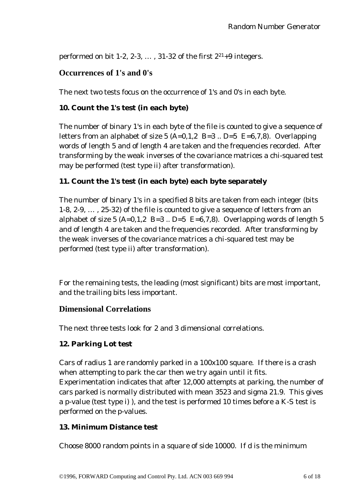<span id="page-9-0"></span>performed on bit 1-2, 2-3,  $\dots$ , 31-32 of the first  $2^{21}+9$  integers.

## **Occurrences of 1's and 0's**

The next two tests focus on the occurrence of 1's and 0's in each byte.

#### **10. Count the 1's test (in each byte)**

The number of binary 1's in each byte of the file is counted to give a sequence of letters from an alphabet of size 5  $(A=0,1,2 \text{ B}=3 \text{ .. } D=5 \text{ E}=6,7,8)$ . Overlapping words of length 5 and of length 4 are taken and the frequencies recorded. After transforming by the weak inverses of the covariance matrices a chi-squared test may be performed (test type ii) after transformation).

#### **11. Count the 1's test (in each byte) each byte separately**

The number of binary 1's in a specified 8 bits are taken from each integer (bits 1-8, 2-9, … , 25-32) of the file is counted to give a sequence of letters from an alphabet of size 5 (A=0,1,2 B=3  $\ldots$  D=5 E=6,7,8). Overlapping words of length 5 and of length 4 are taken and the frequencies recorded. After transforming by the weak inverses of the covariance matrices a chi-squared test may be performed (test type ii) after transformation).

For the remaining tests, the leading (most significant) bits are most important, and the trailing bits less important.

#### **Dimensional Correlations**

The next three tests look for 2 and 3 dimensional correlations.

#### **12. Parking Lot test**

Cars of radius 1 are randomly parked in a 100x100 square. If there is a crash when attempting to park the car then we try again until it fits. Experimentation indicates that after 12,000 attempts at parking, the number of cars parked is normally distributed with mean 3523 and sigma 21.9. This gives a p-value (test type i) ), and the test is performed 10 times before a K-S test is performed on the p-values.

#### **13. Minimum Distance test**

Choose 8000 random points in a square of side 10000. If d is the minimum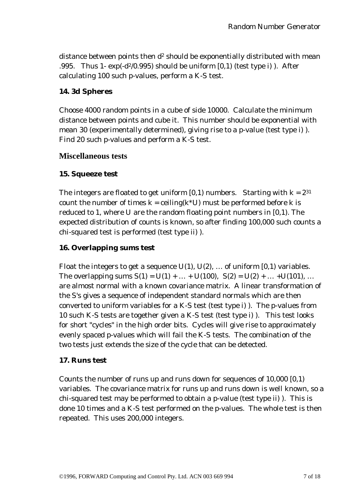<span id="page-10-0"></span>distance between points then d<sup>2</sup> should be exponentially distributed with mean .995. Thus 1-  $exp(-d^2/0.995)$  should be uniform  $[0,1)$  (test type i)). After calculating 100 such p-values, perform a K-S test.

#### **14. 3d Spheres**

Choose 4000 random points in a cube of side 10000. Calculate the minimum distance between points and cube it. This number should be exponential with mean 30 (experimentally determined), giving rise to a p-value (test type i) ). Find 20 such p-values and perform a K-S test.

#### **Miscellaneous tests**

#### **15. Squeeze test**

The integers are floated to get uniform  $[0,1)$  numbers. Starting with  $k = 2^{31}$ count the number of times  $k = \text{ceiling}(k^*U)$  must be performed before k is reduced to 1, where U are the random floating point numbers in [0,1). The expected distribution of counts is known, so after finding 100,000 such counts a chi-squared test is performed (test type ii) ).

#### **16. Overlapping sums test**

Float the integers to get a sequence  $U(1)$ ,  $U(2)$ , ... of uniform  $[0,1)$  variables. The overlapping sums  $S(1) = U(1) + ... + U(100)$ ,  $S(2) = U(2) + ... + U(101)$ , ... are almost normal with a known covariance matrix. A linear transformation of the S's gives a sequence of independent standard normals which are then converted to uniform variables for a K-S test (test type i) ). The p-values from 10 such K-S tests are together given a K-S test (test type i) ). This test looks for short "cycles" in the high order bits. Cycles will give rise to approximately evenly spaced p-values which will fail the K-S tests. The combination of the two tests just extends the size of the cycle that can be detected.

#### **17. Runs test**

Counts the number of runs up and runs down for sequences of 10,000 [0,1) variables. The covariance matrix for runs up and runs down is well known, so a chi-squared test may be performed to obtain a p-value (test type ii) ). This is done 10 times and a K-S test performed on the p-values. The whole test is then repeated. This uses 200,000 integers.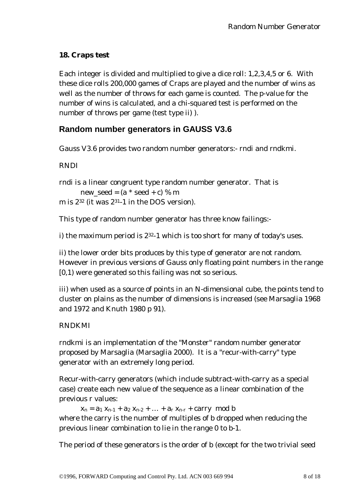## <span id="page-11-0"></span>**18. Craps test**

Each integer is divided and multiplied to give a dice roll: 1,2,3,4,5 or 6. With these dice rolls 200,000 games of Craps are played and the number of wins as well as the number of throws for each game is counted. The p-value for the number of wins is calculated, and a chi-squared test is performed on the number of throws per game (test type ii) ).

# **Random number generators in GAUSS V3.6**

Gauss V3.6 provides two random number generators:- rndi and rndkmi.

## RNDI

```
rndi is a linear congruent type random number generator. That is
      new_seed = (a * seed + c) % mm is 232 (it was 231-1 in the DOS version).
```
This type of random number generator has three know failings:-

i) the maximum period is  $2^{32}$ -1 which is too short for many of today's uses.

ii) the lower order bits produces by this type of generator are not random. However in previous versions of Gauss only floating point numbers in the range [0,1) were generated so this failing was not so serious.

iii) when used as a source of points in an N-dimensional cube, the points tend to cluster on plains as the number of dimensions is increased (see Marsaglia 1968 and 1972 and Knuth 1980 p 91).

## RNDKMI

rndkmi is an implementation of the "Monster" random number generator proposed by Marsaglia (Marsaglia 2000). It is a "recur-with-carry" type generator with an extremely long period.

Recur-with-carry generators (which include subtract-with-carry as a special case) create each new value of the sequence as a linear combination of the previous r values:

 $x_n = a_1 x_{n-1} + a_2 x_{n-2} + ... + a_r x_{n-r} + carry \mod b$ where the carry is the number of multiples of b dropped when reducing the previous linear combination to lie in the range 0 to b-1.

The period of these generators is the order of b (except for the two trivial seed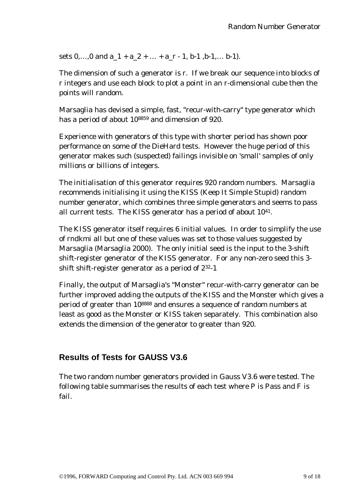<span id="page-12-0"></span>sets  $0, \ldots, 0$  and  $a_1 + a_2 + \ldots + a_r - 1$ ,  $b-1$ ,  $b-1, \ldots, b-1$ .

The dimension of such a generator is r. If we break our sequence into blocks of r integers and use each block to plot a point in an r-dimensional cube then the points will random.

Marsaglia has devised a simple, fast, "recur-with-carry" type generator which has a period of about 108859 and dimension of 920.

Experience with generators of this type with shorter period has shown poor performance on some of the DieHard tests. However the huge period of this generator makes such (suspected) failings invisible on 'small' samples of only millions or billions of integers.

The initialisation of this generator requires 920 random numbers. Marsaglia recommends initialising it using the KISS (Keep It Simple Stupid) random number generator, which combines three simple generators and seems to pass all current tests. The KISS generator has a period of about 1041.

The KISS generator itself requires 6 initial values. In order to simplify the use of rndkmi all but one of these values was set to those values suggested by Marsaglia (Marsaglia 2000). The only initial seed is the input to the 3-shift shift-register generator of the KISS generator. For any non-zero seed this 3 shift shift-register generator as a period of 232-1

Finally, the output of Marsaglia's "Monster" recur-with-carry generator can be further improved adding the outputs of the KISS and the Monster which gives a period of greater than 108888 and ensures a sequence of random numbers at least as good as the Monster or KISS taken separately. This combination also extends the dimension of the generator to greater than 920.

# **Results of Tests for GAUSS V3.6**

The two random number generators provided in Gauss V3.6 were tested. The following table summarises the results of each test where P is Pass and F is fail.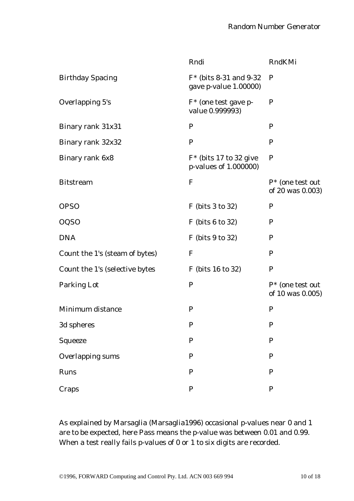|                                | Rndi                                               | RndKMi                                  |
|--------------------------------|----------------------------------------------------|-----------------------------------------|
| <b>Birthday Spacing</b>        | $F*$ (bits 8-31 and 9-32)<br>gave p-value 1.00000) | $\mathbf P$                             |
| Overlapping 5's                | $F^*$ (one test gave p-<br>value 0.999993)         | $\mathbf P$                             |
| Binary rank 31x31              | P                                                  | $\mathbf P$                             |
| Binary rank 32x32              | $\mathbf{P}$                                       | $\mathbf P$                             |
| Binary rank 6x8                | $F^*$ (bits 17 to 32 give<br>p-values of 1.000000) | $\mathbf P$                             |
| <b>Bitstream</b>               | $\mathbf{F}$                                       | $P^*$ (one test out<br>of 20 was 0.003) |
| <b>OPSO</b>                    | F (bits 3 to 32)                                   | $\mathbf P$                             |
| <b>OQSO</b>                    | $F$ (bits 6 to 32)                                 | $\mathbf P$                             |
| <b>DNA</b>                     | F (bits 9 to 32)                                   | $\mathbf P$                             |
| Count the 1's (steam of bytes) | $\mathbf F$                                        | $\mathbf P$                             |
| Count the 1's (selective bytes | F (bits 16 to 32)                                  | $\mathbf P$                             |
| Parking Lot                    | $\mathbf P$                                        | $P^*$ (one test out<br>of 10 was 0.005) |
| Minimum distance               | $\mathbf{P}$                                       | $\mathbf P$                             |
| 3d spheres                     | $\mathbf P$                                        | P                                       |
| Squeeze                        | ${\bf P}$                                          | $\mathbf P$                             |
| <b>Overlapping sums</b>        | $\mathbf P$                                        | $\mathbf{P}$                            |
| Runs                           | ${\bf P}$                                          | ${\bf P}$                               |
| Craps                          | ${\bf P}$                                          | ${\bf P}$                               |

As explained by Marsaglia (Marsaglia1996) occasional p-values near 0 and 1 are to be expected, here Pass means the p-value was between 0.01 and 0.99. When a test really fails p-values of 0 or 1 to six digits are recorded.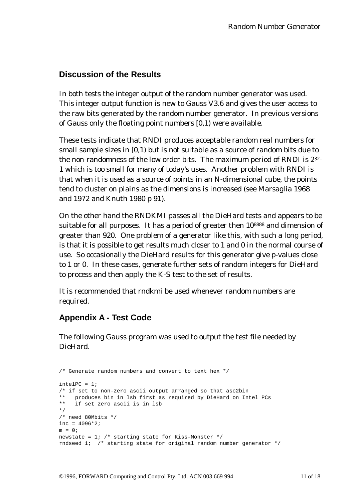# <span id="page-14-0"></span>**Discussion of the Results**

In both tests the integer output of the random number generator was used. This integer output function is new to Gauss V3.6 and gives the user access to the raw bits generated by the random number generator. In previous versions of Gauss only the floating point numbers [0,1) were available.

These tests indicate that RNDI produces acceptable random real numbers for small sample sizes in [0,1) but is not suitable as a source of random bits due to the non-randomness of the low order bits. The maximum period of RNDI is 232- 1 which is too small for many of today's uses. Another problem with RNDI is that when it is used as a source of points in an N-dimensional cube, the points tend to cluster on plains as the dimensions is increased (see Marsaglia 1968 and 1972 and Knuth 1980 p 91).

On the other hand the RNDKMI passes all the DieHard tests and appears to be suitable for all purposes. It has a period of greater then 10<sup>8888</sup> and dimension of greater than 920. One problem of a generator like this, with such a long period, is that it is possible to get results much closer to 1 and 0 in the normal course of use. So occasionally the DieHard results for this generator give p-values close to 1 or 0. In these cases, generate further sets of random integers for DieHard to process and then apply the K-S test to the set of results.

It is recommended that rndkmi be used whenever random numbers are required.

# **Appendix A - Test Code**

The following Gauss program was used to output the test file needed by DieHard.

```
/* Generate random numbers and convert to text hex */
inteller = 1;/* if set to non-zero ascii output arranged so that asc2bin
** produces bin in lsb first as required by DieHard on Intel PCs
** if set zero ascii is in lsb
*/
/* need 80Mbits */
inc = 4096*2;m = 0;newstate = 1; /* starting state for Kiss-Monster */rndseed 1; /* starting state for original random number generator */
```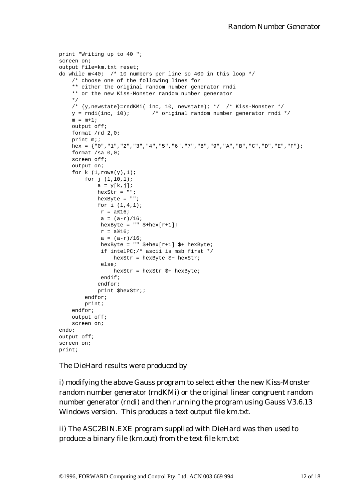```
print "Writing up to 40 ";
screen on;
output file=km.txt reset;
do while m<40; /* 10 numbers per line so 400 in this loop */
    /* choose one of the following lines for
    ** either the original random number generator rndi
    ** or the new Kiss-Monster random number generator
    */
    /* \{y, newstate\}=rndKMi( inc, 10, newstate); */ /* Kiss-Monster */
    y = rndi(inc, 10); /* original random number generator rndi */
    m = m+1;output off;
   format /rd 2,0;
    print m;;
   hex = {"0","1","2","3","4","5","6","7","8","9","A","B","C","D","E","F"};
   format /sa 0,0;
   screen off;
   output on;
    for k (1, rows(y), 1);
       for j (1,10,1);
           a = y[k, j];hexStr = "";
           hexByte = "";
           for i (1,4,1);
            r = a % 16;
             a = (a-r)/16;hexByte = " " $+hex[r+1];
            r = a %16;
             a = (a-r)/16;hexByte = " " $+hex[r+1] $+ hexByte;if intelPC;/* ascii is msb first */
                 hexStr = hexByte $+ hexStr;
             else;
                hexStr = hexStr $+ hexByte;
             endif;
            endfor;
            print $hexStr;;
        endfor;
        print;
    endfor;
   output off;
    screen on;
endo;
output off;
screen on;
print;
```
The DieHard results were produced by

i) modifying the above Gauss program to select either the new Kiss-Monster random number generator (rndKMi) or the original linear congruent random number generator (rndi) and then running the program using Gauss V3.6.13 Windows version. This produces a text output file km.txt.

ii) The ASC2BIN.EXE program supplied with DieHard was then used to produce a binary file (km.out) from the text file km.txt